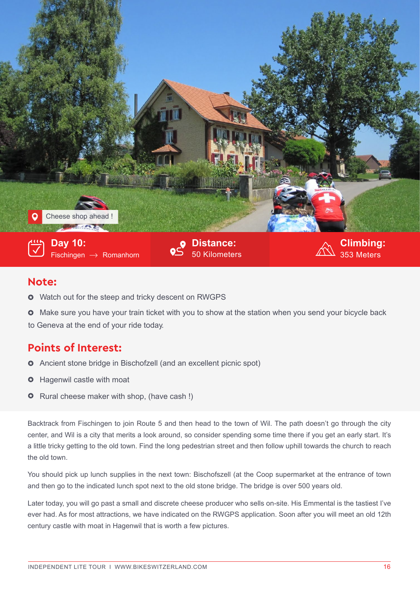

## **Note:**

- $\circ$  Watch out for the steep and tricky descent on RWGPS
- $\bullet$  Make sure you have your train ticket with you to show at the station when you send your bicycle back

to Geneva at the end of your ride today.

## **Points of Interest:**

- Ancient stone bridge in Bischofzell (and an excellent picnic spot)
- **O** Hagenwil castle with moat
- **O** Rural cheese maker with shop, (have cash !)

Backtrack from Fischingen to join Route 5 and then head to the town of Wil. The path doesn't go through the city center, and Wil is a city that merits a look around, so consider spending some time there if you get an early start. It's a little tricky getting to the old town. Find the long pedestrian street and then follow uphill towards the church to reach the old town.

You should pick up lunch supplies in the next town: Bischofszell (at the Coop supermarket at the entrance of town and then go to the indicated lunch spot next to the old stone bridge. The bridge is over 500 years old.

Later today, you will go past a small and discrete cheese producer who sells on-site. His Emmental is the tastiest I've ever had. As for most attractions, we have indicated on the RWGPS application. Soon after you will meet an old 12th century castle with moat in Hagenwil that is worth a few pictures.